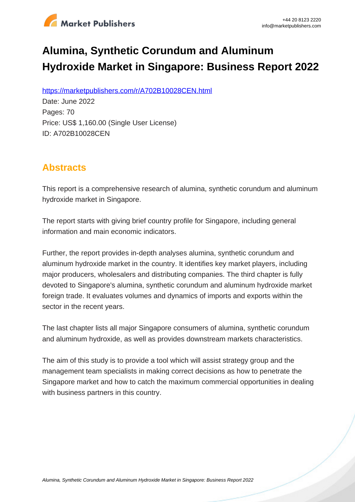

# **Alumina, Synthetic Corundum and Aluminum Hydroxide Market in Singapore: Business Report 2022**

https://marketpublishers.com/r/A702B10028CEN.html

Date: June 2022 Pages: 70 Price: US\$ 1,160.00 (Single User License) ID: A702B10028CEN

# **Abstracts**

This report is a comprehensive research of alumina, synthetic corundum and aluminum hydroxide market in Singapore.

The report starts with giving brief country profile for Singapore, including general information and main economic indicators.

Further, the report provides in-depth analyses alumina, synthetic corundum and aluminum hydroxide market in the country. It identifies key market players, including major producers, wholesalers and distributing companies. The third chapter is fully devoted to Singapore's alumina, synthetic corundum and aluminum hydroxide market foreign trade. It evaluates volumes and dynamics of imports and exports within the sector in the recent years.

The last chapter lists all major Singapore consumers of alumina, synthetic corundum and aluminum hydroxide, as well as provides downstream markets characteristics.

The aim of this study is to provide a tool which will assist strategy group and the management team specialists in making correct decisions as how to penetrate the Singapore market and how to catch the maximum commercial opportunities in dealing with business partners in this country.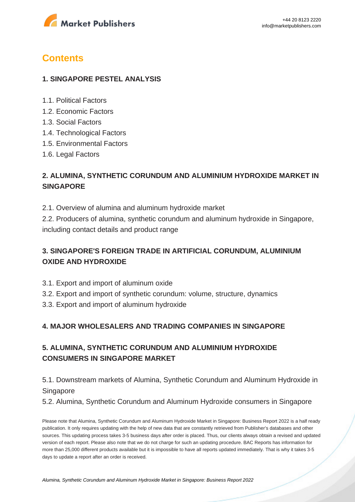

# **Contents**

#### **1. SINGAPORE PESTEL ANALYSIS**

- 1.1. Political Factors
- 1.2. Economic Factors
- 1.3. Social Factors
- 1.4. Technological Factors
- 1.5. Environmental Factors
- 1.6. Legal Factors

# **2. ALUMINA, SYNTHETIC CORUNDUM AND ALUMINIUM HYDROXIDE MARKET IN SINGAPORE**

2.1. Overview of alumina and aluminum hydroxide market

2.2. Producers of alumina, synthetic corundum and aluminum hydroxide in Singapore, including contact details and product range

# **3. SINGAPORE'S FOREIGN TRADE IN ARTIFICIAL CORUNDUM, ALUMINIUM OXIDE AND HYDROXIDE**

- 3.1. Export and import of aluminum oxide
- 3.2. Export and import of synthetic corundum: volume, structure, dynamics
- 3.3. Export and import of aluminum hydroxide

#### **4. MAJOR WHOLESALERS AND TRADING COMPANIES IN SINGAPORE**

# **5. ALUMINA, SYNTHETIC CORUNDUM AND ALUMINIUM HYDROXIDE CONSUMERS IN SINGAPORE MARKET**

# 5.1. Downstream markets of Alumina, Synthetic Corundum and Aluminum Hydroxide in Singapore

5.2. Alumina, Synthetic Corundum and Aluminum Hydroxide consumers in Singapore

Please note that Alumina, Synthetic Corundum and Aluminum Hydroxide Market in Singapore: Business Report 2022 is a half ready publication. It only requires updating with the help of new data that are constantly retrieved from Publisher's databases and other sources. This updating process takes 3-5 business days after order is placed. Thus, our clients always obtain a revised and updated version of each report. Please also note that we do not charge for such an updating procedure. BAC Reports has information for more than 25,000 different products available but it is impossible to have all reports updated immediately. That is why it takes 3-5 days to update a report after an order is received.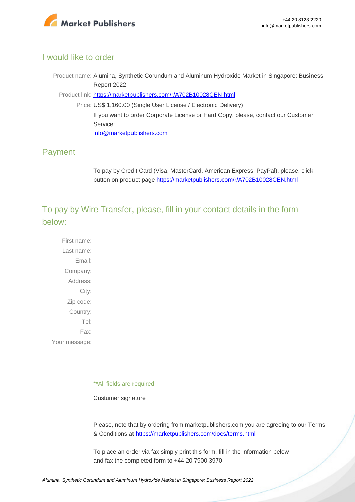

#### I would like to order

Product name: Alumina, Synthetic Corundum and Aluminum Hydroxide Market in Singapore: Business Report 2022

Product link: [https://marketpublishers.com/r/A702B10028CEN.html](https://marketpublishers.com/report/industry/chemicals_petrochemicals/alumina_synthetic_corundum_n_aluminum_hydroxide_market_in_singapore_business_report.html)

Price: US\$ 1,160.00 (Single User License / Electronic Delivery) If you want to order Corporate License or Hard Copy, please, contact our Customer Service: [info@marketpublishers.com](mailto:info@marketpublishers.com)

### Payment

To pay by Credit Card (Visa, MasterCard, American Express, PayPal), please, click button on product page [https://marketpublishers.com/r/A702B10028CEN.html](https://marketpublishers.com/report/industry/chemicals_petrochemicals/alumina_synthetic_corundum_n_aluminum_hydroxide_market_in_singapore_business_report.html)

To pay by Wire Transfer, please, fill in your contact details in the form below:

First name: Last name: Email: Company: Address: City: Zip code: Country: Tel: Fax: Your message:

\*\*All fields are required

Custumer signature

Please, note that by ordering from marketpublishers.com you are agreeing to our Terms & Conditions at<https://marketpublishers.com/docs/terms.html>

To place an order via fax simply print this form, fill in the information below and fax the completed form to +44 20 7900 3970